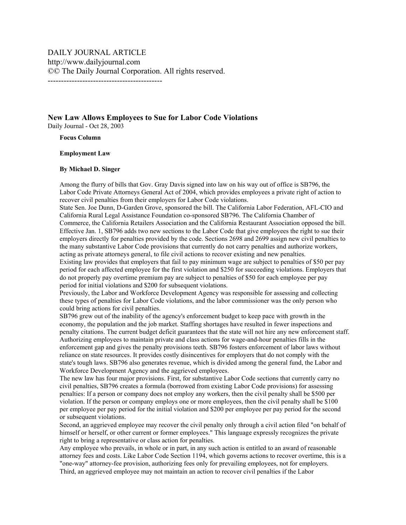## **New Law Allows Employees to Sue for Labor Code Violations**  Daily Journal - Oct 28, 2003

**Focus Column**

## **Employment Law**

## **By Michael D. Singer**

Among the flurry of bills that Gov. Gray Davis signed into law on his way out of office is SB796, the Labor Code Private Attorneys General Act of 2004, which provides employees a private right of action to recover civil penalties from their employers for Labor Code violations.

State Sen. Joe Dunn, D-Garden Grove, sponsored the bill. The California Labor Federation, AFL-CIO and California Rural Legal Assistance Foundation co-sponsored SB796. The California Chamber of Commerce, the California Retailers Association and the California Restaurant Association opposed the bill. Effective Jan. 1, SB796 adds two new sections to the Labor Code that give employees the right to sue their employers directly for penalties provided by the code. Sections 2698 and 2699 assign new civil penalties to the many substantive Labor Code provisions that currently do not carry penalties and authorize workers, acting as private attorneys general, to file civil actions to recover existing and new penalties.

Existing law provides that employers that fail to pay minimum wage are subject to penalties of \$50 per pay period for each affected employee for the first violation and \$250 for succeeding violations. Employers that do not properly pay overtime premium pay are subject to penalties of \$50 for each employee per pay period for initial violations and \$200 for subsequent violations.

Previously, the Labor and Workforce Development Agency was responsible for assessing and collecting these types of penalties for Labor Code violations, and the labor commissioner was the only person who could bring actions for civil penalties.

SB796 grew out of the inability of the agency's enforcement budget to keep pace with growth in the economy, the population and the job market. Staffing shortages have resulted in fewer inspections and penalty citations. The current budget deficit guarantees that the state will not hire any new enforcement staff. Authorizing employees to maintain private and class actions for wage-and-hour penalties fills in the enforcement gap and gives the penalty provisions teeth. SB796 fosters enforcement of labor laws without reliance on state resources. It provides costly disincentives for employers that do not comply with the state's tough laws. SB796 also generates revenue, which is divided among the general fund, the Labor and Workforce Development Agency and the aggrieved employees.

The new law has four major provisions. First, for substantive Labor Code sections that currently carry no civil penalties, SB796 creates a formula (borrowed from existing Labor Code provisions) for assessing penalties: If a person or company does not employ any workers, then the civil penalty shall be \$500 per violation. If the person or company employs one or more employees, then the civil penalty shall be \$100 per employee per pay period for the initial violation and \$200 per employee per pay period for the second or subsequent violations.

Second, an aggrieved employee may recover the civil penalty only through a civil action filed "on behalf of himself or herself, or other current or former employees." This language expressly recognizes the private right to bring a representative or class action for penalties.

Any employee who prevails, in whole or in part, in any such action is entitled to an award of reasonable attorney fees and costs. Like Labor Code Section 1194, which governs actions to recover overtime, this is a "one-way" attorney-fee provision, authorizing fees only for prevailing employees, not for employers. Third, an aggrieved employee may not maintain an action to recover civil penalties if the Labor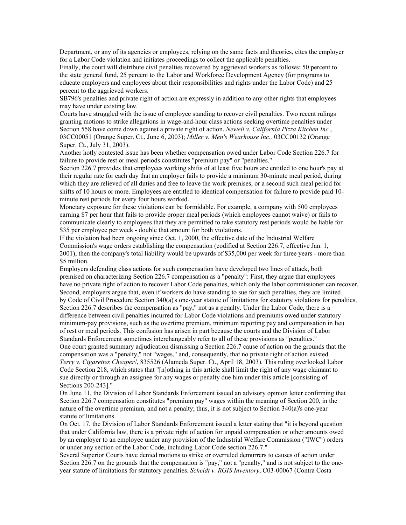Department, or any of its agencies or employees, relying on the same facts and theories, cites the employer for a Labor Code violation and initiates proceedings to collect the applicable penalties.

Finally, the court will distribute civil penalties recovered by aggrieved workers as follows: 50 percent to the state general fund, 25 percent to the Labor and Workforce Development Agency (for programs to educate employers and employees about their responsibilities and rights under the Labor Code) and 25 percent to the aggrieved workers.

SB796's penalties and private right of action are expressly in addition to any other rights that employees may have under existing law.

Courts have struggled with the issue of employee standing to recover civil penalties. Two recent rulings granting motions to strike allegations in wage-and-hour class actions seeking overtime penalties under Section 558 have come down against a private right of action. *Newell v. California Pizza Kitchen Inc.*, 03CC00051 (Orange Super. Ct., June 6, 2003); *Miller v. Men's Wearhouse Inc.,* 03CC00132 (Orange Super. Ct., July 31, 2003).

Another hotly contested issue has been whether compensation owed under Labor Code Section 226.7 for failure to provide rest or meal periods constitutes "premium pay" or "penalties."

Section 226.7 provides that employees working shifts of at least five hours are entitled to one hour's pay at their regular rate for each day that an employer fails to provide a minimum 30-minute meal period, during which they are relieved of all duties and free to leave the work premises, or a second such meal period for shifts of 10 hours or more. Employees are entitled to identical compensation for failure to provide paid 10 minute rest periods for every four hours worked.

Monetary exposure for these violations can be formidable. For example, a company with 500 employees earning \$7 per hour that fails to provide proper meal periods (which employees cannot waive) or fails to communicate clearly to employees that they are permitted to take statutory rest periods would be liable for \$35 per employee per week - double that amount for both violations.

If the violation had been ongoing since Oct. 1, 2000, the effective date of the Industrial Welfare Commission's wage orders establishing the compensation (codified at Section 226.7, effective Jan. 1, 2001), then the company's total liability would be upwards of \$35,000 per week for three years - more than \$5 million.

Employers defending class actions for such compensation have developed two lines of attack, both premised on characterizing Section 226.7 compensation as a "penalty": First, they argue that employees have no private right of action to recover Labor Code penalties, which only the labor commissioner can recover. Second, employers argue that, even if workers do have standing to sue for such penalties, they are limited by Code of Civil Procedure Section 340(a)'s one-year statute of limitations for statutory violations for penalties. Section 226.7 describes the compensation as "pay," not as a penalty. Under the Labor Code, there is a difference between civil penalties incurred for Labor Code violations and premiums owed under statutory minimum-pay provisions, such as the overtime premium, minimum reporting pay and compensation in lieu of rest or meal periods. This confusion has arisen in part because the courts and the Division of Labor Standards Enforcement sometimes interchangeably refer to all of these provisions as "penalties." One court granted summary adjudication dismissing a Section 226.7 cause of action on the grounds that the compensation was a "penalty," not "wages," and, consequently, that no private right of action existed. *Terry v. Cigarettes Cheaper!*, 835526 (Alameda Super. Ct., April 18, 2003). This ruling overlooked Labor Code Section 218, which states that "[n]othing in this article shall limit the right of any wage claimant to sue directly or through an assignee for any wages or penalty due him under this article [consisting of Sections 200-243]."

On June 11, the Division of Labor Standards Enforcement issued an advisory opinion letter confirming that Section 226.7 compensation constitutes "premium pay" wages within the meaning of Section 200, in the nature of the overtime premium, and not a penalty; thus, it is not subject to Section 340(a)'s one-year statute of limitations.

On Oct. 17, the Division of Labor Standards Enforcement issued a letter stating that "it is beyond question that under California law, there is a private right of action for unpaid compensation or other amounts owed by an employer to an employee under any provision of the Industrial Welfare Commission ("IWC") orders or under any section of the Labor Code, including Labor Code section 226.7."

Several Superior Courts have denied motions to strike or overruled demurrers to causes of action under Section 226.7 on the grounds that the compensation is "pay," not a "penalty," and is not subject to the oneyear statute of limitations for statutory penalties. *Scheidt v. RGIS Inventory*, C03-00067 (Contra Costa